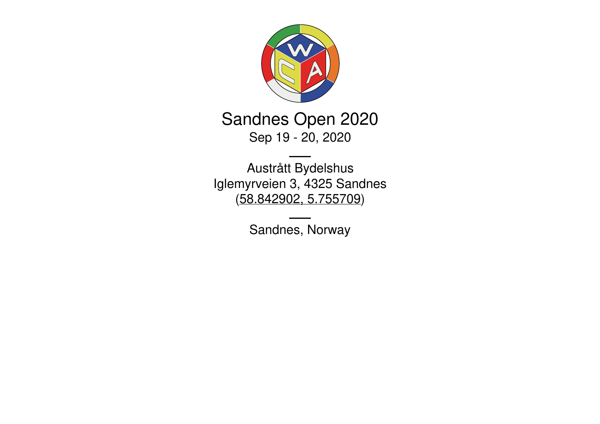

Sandnes Open 2020 Sep 19 - 20, 2020

Austrått Bydelshus Iglemyrveien 3, 4325 Sandnes [\(58.842902,](https://www.google.com/maps/place/58.842902,5.755709) 5.755709)

Sandnes, Norway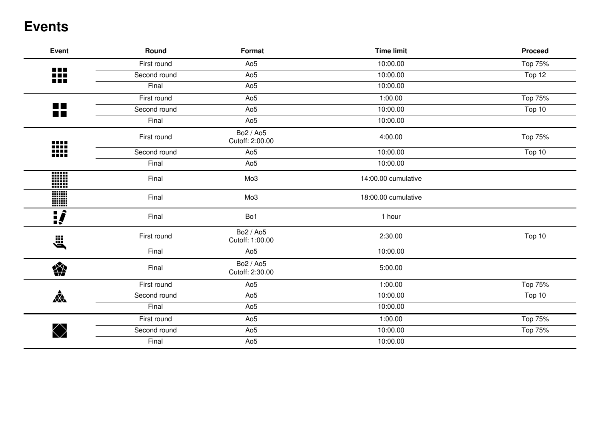## **Events**

| <b>Event</b>                 | Round        | Format                       | <b>Time limit</b>   | <b>Proceed</b> |
|------------------------------|--------------|------------------------------|---------------------|----------------|
| 88                           | First round  | Ao <sub>5</sub>              | 10:00.00            | Top 75%        |
|                              | Second round | Ao <sub>5</sub>              | 10:00.00            | Top 12         |
|                              | Final        | Ao <sub>5</sub>              | 10:00.00            |                |
|                              | First round  | Ao <sub>5</sub>              | 1:00.00             | Top 75%        |
| <b>The Co</b><br><b>TIME</b> | Second round | Ao <sub>5</sub>              | 10:00.00            | Top 10         |
|                              | Final        | Ao <sub>5</sub>              | 10:00.00            |                |
|                              | First round  | Bo2 / Ao5<br>Cutoff: 2:00.00 | 4:00.00             | Top 75%        |
| ₩                            | Second round | Ao <sub>5</sub>              | 10:00.00            | Top 10         |
|                              | Final        | Ao <sub>5</sub>              | 10:00.00            |                |
| nin<br>1111<br>11111         | Final        | Mo3                          | 14:00.00 cumulative |                |
| W                            | Final        | Mo3                          | 18:00.00 cumulative |                |
| <u>:</u>                     | Final        | Bo1                          | 1 hour              |                |
| Ë,                           | First round  | Bo2 / Ao5<br>Cutoff: 1:00.00 | 2:30.00             | Top 10         |
|                              | Final        | Ao <sub>5</sub>              | 10:00.00            |                |
| 樂                            | Final        | Bo2 / Ao5<br>Cutoff: 2:30.00 | 5:00.00             |                |
|                              | First round  | Ao <sub>5</sub>              | 1:00.00             | Top 75%        |
| $\frac{1}{\sqrt{2}}$         | Second round | Ao <sub>5</sub>              | 10:00.00            | Top 10         |
|                              | Final        | Ao <sub>5</sub>              | 10:00.00            |                |
|                              | First round  | Ao <sub>5</sub>              | 1:00.00             | Top 75%        |
|                              | Second round | Ao <sub>5</sub>              | 10:00.00            | Top 75%        |
|                              | Final        | Ao <sub>5</sub>              | 10:00.00            |                |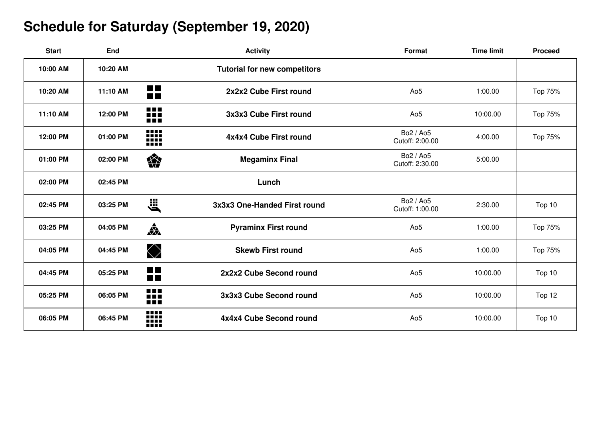# **Schedule for Saturday (September 19, 2020)**

| <b>Start</b> | <b>End</b> | <b>Activity</b>                                             | Format                       | <b>Time limit</b> | <b>Proceed</b> |
|--------------|------------|-------------------------------------------------------------|------------------------------|-------------------|----------------|
| 10:00 AM     | 10:20 AM   | <b>Tutorial for new competitors</b>                         |                              |                   |                |
| 10:20 AM     | 11:10 AM   | <b>Contract</b><br>2x2x2 Cube First round<br>$\blacksquare$ | Ao <sub>5</sub>              | 1:00.00           | Top 75%        |
| 11:10 AM     | 12:00 PM   | <b>BBB</b><br>3x3x3 Cube First round<br>Œ                   | Ao <sub>5</sub>              | 10:00.00          | Top 75%        |
| 12:00 PM     | 01:00 PM   | W<br>4x4x4 Cube First round                                 | Bo2 / Ao5<br>Cutoff: 2:00.00 | 4:00.00           | Top 75%        |
| 01:00 PM     | 02:00 PM   | 樂<br><b>Megaminx Final</b>                                  | Bo2 / Ao5<br>Cutoff: 2:30.00 | 5:00.00           |                |
| 02:00 PM     | 02:45 PM   | Lunch                                                       |                              |                   |                |
| 02:45 PM     | 03:25 PM   | <b>E</b><br>3x3x3 One-Handed First round                    | Bo2 / Ao5<br>Cutoff: 1:00.00 | 2:30.00           | Top 10         |
| 03:25 PM     | 04:05 PM   | $\frac{1}{\sqrt{2}}$<br><b>Pyraminx First round</b>         | Ao <sub>5</sub>              | 1:00.00           | Top 75%        |
| 04:05 PM     | 04:45 PM   | $\bigcirc$<br><b>Skewb First round</b>                      | Ao <sub>5</sub>              | 1:00.00           | Top 75%        |
| 04:45 PM     | 05:25 PM   | 22<br>2x2x2 Cube Second round                               | Ao <sub>5</sub>              | 10:00.00          | Top 10         |
| 05:25 PM     | 06:05 PM   | 88<br>3x3x3 Cube Second round<br>na                         | Ao <sub>5</sub>              | 10:00.00          | Top 12         |
| 06:05 PM     | 06:45 PM   | W<br>4x4x4 Cube Second round                                | Ao <sub>5</sub>              | 10:00.00          | Top 10         |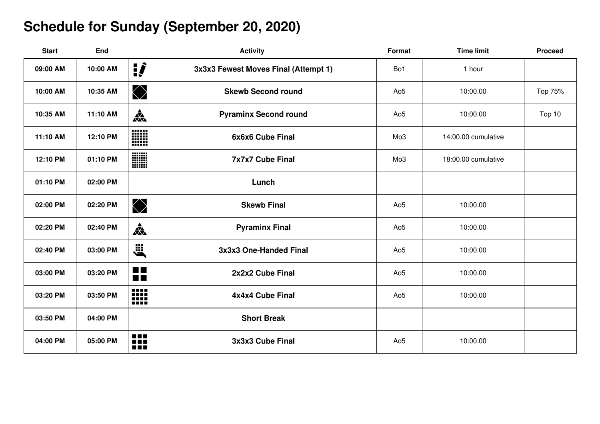# **Schedule for Sunday (September 20, 2020)**

| <b>Start</b> | End      | <b>Activity</b>                                      | Format          | <b>Time limit</b>   | <b>Proceed</b> |
|--------------|----------|------------------------------------------------------|-----------------|---------------------|----------------|
| 09:00 AM     | 10:00 AM | $\mathbf{P}$<br>3x3x3 Fewest Moves Final (Attempt 1) | Bo1             | 1 hour              |                |
| 10:00 AM     | 10:35 AM | $\bigotimes$<br><b>Skewb Second round</b>            | Ao <sub>5</sub> | 10:00.00            | Top 75%        |
| 10:35 AM     | 11:10 AM | 森<br><b>Pyraminx Second round</b>                    | Ao <sub>5</sub> | 10:00.00            | Top 10         |
| 11:10 AM     | 12:10 PM | W<br>6x6x6 Cube Final                                | Mo3             | 14:00.00 cumulative |                |
| 12:10 PM     | 01:10 PM | W<br><b>7x7x7 Cube Final</b>                         | Mo <sub>3</sub> | 18:00.00 cumulative |                |
| 01:10 PM     | 02:00 PM | Lunch                                                |                 |                     |                |
| 02:00 PM     | 02:20 PM | $\bigotimes$<br><b>Skewb Final</b>                   | Ao <sub>5</sub> | 10:00.00            |                |
| 02:20 PM     | 02:40 PM | $\frac{1}{\sqrt{2}}$<br><b>Pyraminx Final</b>        | Ao <sub>5</sub> | 10:00.00            |                |
| 02:40 PM     | 03:00 PM | jii<br>Ö<br>3x3x3 One-Handed Final                   | Ao <sub>5</sub> | 10:00.00            |                |
| 03:00 PM     | 03:20 PM | $\blacksquare$<br>2x2x2 Cube Final<br>ñÑ             | Ao <sub>5</sub> | 10:00.00            |                |
| 03:20 PM     | 03:50 PM | 88<br>4x4x4 Cube Final                               | Ao <sub>5</sub> | 10:00.00            |                |
| 03:50 PM     | 04:00 PM | <b>Short Break</b>                                   |                 |                     |                |
| 04:00 PM     | 05:00 PM | ₩<br>3x3x3 Cube Final                                | Ao <sub>5</sub> | 10:00.00            |                |